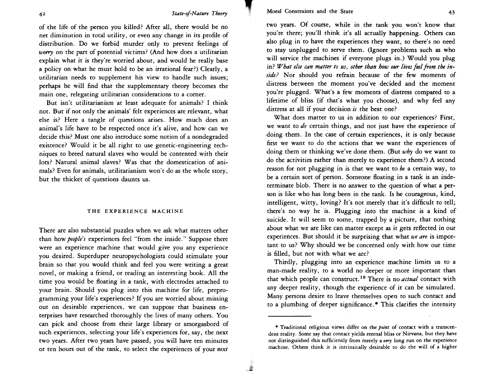## 2

of the life of the person you killed? After all, there would be no net diminution in total utility, or even any change in its profile of distribution. Do we forbid murder only to prevent feelings of *worry* on the part of potential victims? (And how does a utilitarian explain what it is they're worried about, and would he really base a policy on what he must hold to be an irrational fear?) Clearly, a utilitarian needs to supplement his view to handle such issues; perhaps he will find that the supplementary theory becomes the main one, relegating utilitarian considerations to a corner.

But isn't utilitarianism at least adequate for animals? I think not. But if not only the animals' felt experiences are relevant, what else is? Here a tangle of questions arises. How much does an animal's life have to be respected once it's alive, and how can we decide this? Must one also introduce some notion of a nondegraded existence? Would it be all right to use genetic-engineering techniques to breed natural slaves who would be contented with their lots? Natural animal slaves? Was that the domestication of animals? Even for animals, utilitarianism won't do as the whole story, but the thicket of questions daunts us.

## THE EXPERIENCE MACHINE

There are also substantial puzzles when we ask what matters other than how *people's* experiences feel "from the inside." Suppose there were an experience machine that would give you any experience you desired. Superduper neuropsychologists could stimulate your brain so that you would think and feel you were writing a great novel, or making a friend, or reading an interesting book. All the time you would be floating in a tank, with electrodes attached to your brain. Should you plug into this machine for life, preprogramming your life's experiences? If you are worried about missing out on desirable experiences, we can suppose that business enterprises have researched thoroughly the lives of many others. You can pick and choose from their large library or smorgasbord of such experiences, selecting your life's experiences for, say, the next two years. After two years have passed, you will have ten minutes or ten hours out of the tank, to select the experiences of your *next*

two years. Of course, while in the tank you won't know that you're there; you'll think it's all actually happening. Others can also plug in to have the experiences they want, so there's no need to stay unplugged to serve them. (Ignore problems such as who will service the machines if everyone plugs in.) Would you plug in? *What else can matter to us, other than how our lives feel from the inside?* Nor should you refrain because of the few moments of distress between the moment you've decided and the moment you're plugged. What's a few moments of distress compared to a lifetime of bliss (if that's what you choose), and why feel any distress at all if your decision *is* the best one?

What does matter to us in addition to our experiences? First, we want to *do* certain things, and not just have the experience of doing them. In the case of certain experiences, it is only because first we want to do the actions that we want the experiences of doing them or thinking we've done them. (But *why* do we want to do the activities rather than merely to experience them?) A second reason for not plugging in is that we want to *be* a certain way, to be a certain sort of person. Someone floating in a tank is an indeterminate blob. There is no answer to the question of what a person is like who has long been in the tank. Is he courageous, kind, intelligent, witty, loving? It's not merely that it's difficult to tell; there's no way he is. Plugging into the machine is a kind of suicide. It will seem to some, trapped by a picture, that nothing about what we are like can matter except as it gets reflected in our experiences. But should it be surprising that what *we are* is important to us? Why should we be concerned only with how our time is filled, but not with what we are?

Thirdly, plugging into an experience machine limits us to a man-made reality, to a world no deeper or more important than that which people can construct.<sup>10</sup> There is no *actual* contact with any deeper reality, though the experience of it can be simulated. Many persons desire to leave themselves open to such contact and to a plumbing of deeper significance. \* This clarifies the intensity

i.

<sup>\*</sup> Traditional religious views differ on the *point* of contact with a transcendent reality. Some say that contact yields eternal bliss or Nirvana, but they have not distinguished this sufficiently from merely a *very* long run on the experience machine. Others think it is intrinsically desirable to do the will of a higher